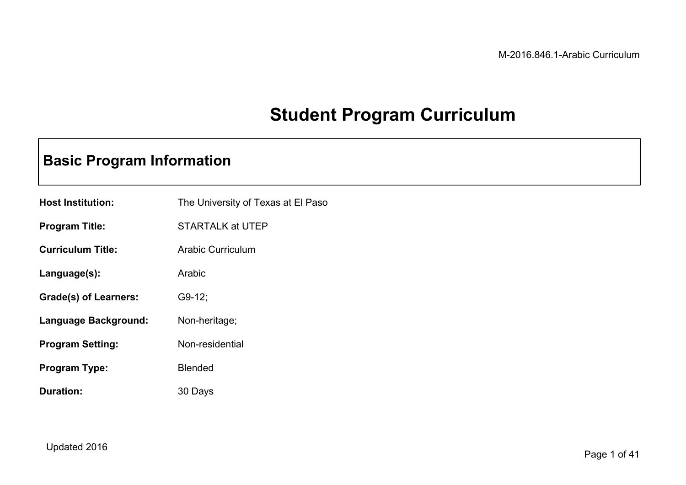# **Student Program Curriculum**

# **Basic Program Information**

| <b>Host Institution:</b> | The University of Texas at El Paso |
|--------------------------|------------------------------------|
| <b>Program Title:</b>    | STARTALK at UTEP                   |
| <b>Curriculum Title:</b> | Arabic Curriculum                  |
| Language(s):             | Arabic                             |
| Grade(s) of Learners:    | $G9-12;$                           |
| Language Background:     | Non-heritage;                      |
| <b>Program Setting:</b>  | Non-residential                    |
| Program Type:            | <b>Blended</b>                     |
| Duration:                | 30 Days                            |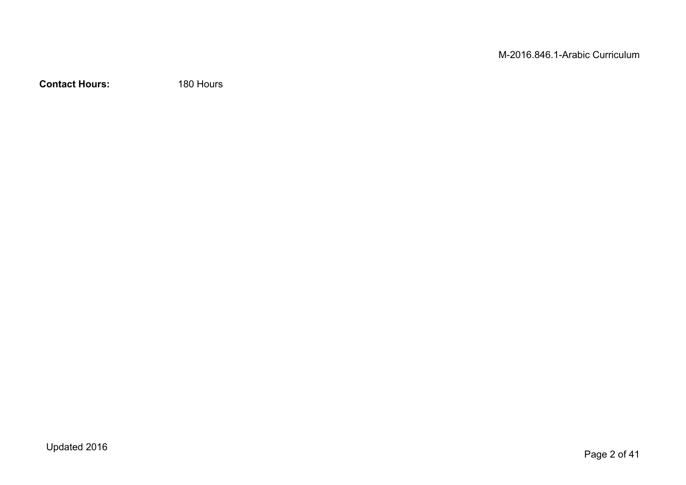**Contact Hours:** 180 Hours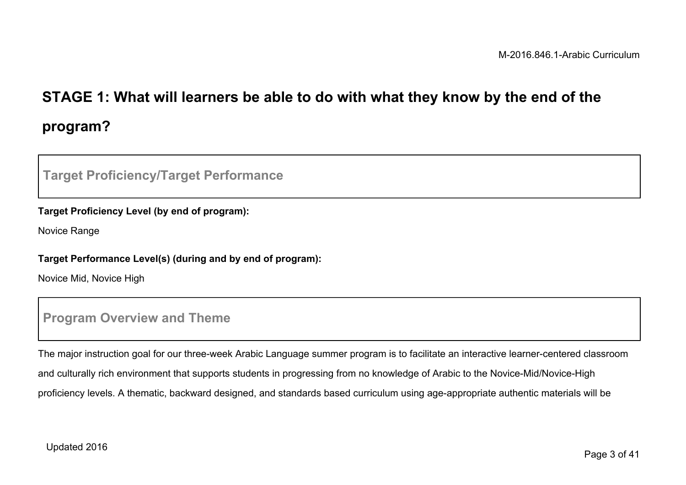# **STAGE 1: What will learners be able to do with what they know by the end of the program?**

### **Target Proficiency/Target Performance**

#### **Target Proficiency Level (by end of program):**

Novice Range

#### **Target Performance Level(s) (during and by end of program):**

Novice Mid, Novice High

### **Program Overview and Theme**

The major instruction goal for our three-week Arabic Language summer program is to facilitate an interactive learner-centered classroom and culturally rich environment that supports students in progressing from no knowledge of Arabic to the Novice-Mid/Novice-High proficiency levels. A thematic, backward designed, and standards based curriculum using age-appropriate authentic materials will be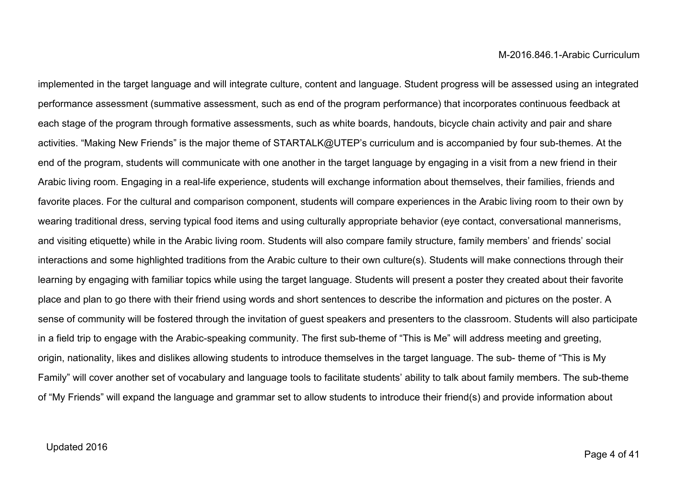implemented in the target language and will integrate culture, content and language. Student progress will be assessed using an integrated performance assessment (summative assessment, such as end of the program performance) that incorporates continuous feedback at each stage of the program through formative assessments, such as white boards, handouts, bicycle chain activity and pair and share activities. "Making New Friends" is the major theme of STARTALK@UTEP's curriculum and is accompanied by four sub-themes. At the end of the program, students will communicate with one another in the target language by engaging in a visit from a new friend in their Arabic living room. Engaging in a real-life experience, students will exchange information about themselves, their families, friends and favorite places. For the cultural and comparison component, students will compare experiences in the Arabic living room to their own by wearing traditional dress, serving typical food items and using culturally appropriate behavior (eye contact, conversational mannerisms, and visiting etiquette) while in the Arabic living room. Students will also compare family structure, family members' and friends' social interactions and some highlighted traditions from the Arabic culture to their own culture(s). Students will make connections through their learning by engaging with familiar topics while using the target language. Students will present a poster they created about their favorite place and plan to go there with their friend using words and short sentences to describe the information and pictures on the poster. A sense of community will be fostered through the invitation of guest speakers and presenters to the classroom. Students will also participate in a field trip to engage with the Arabic-speaking community. The first sub-theme of "This is Me" will address meeting and greeting, origin, nationality, likes and dislikes allowing students to introduce themselves in the target language. The sub- theme of "This is My Family" will cover another set of vocabulary and language tools to facilitate students' ability to talk about family members. The sub-theme of "My Friends" will expand the language and grammar set to allow students to introduce their friend(s) and provide information about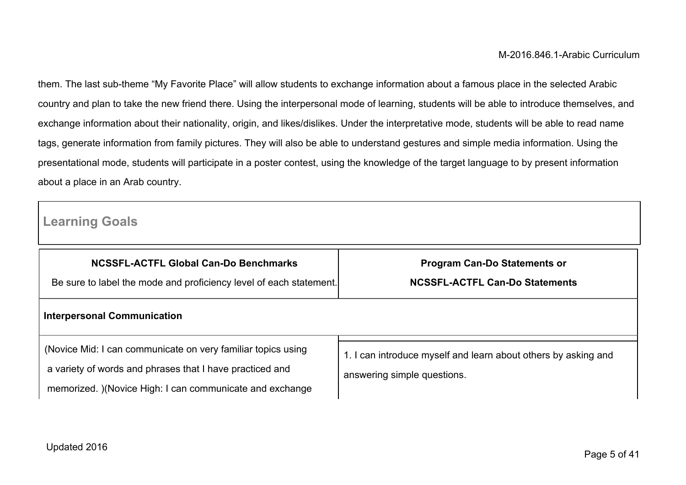them. The last sub-theme "My Favorite Place" will allow students to exchange information about a famous place in the selected Arabic country and plan to take the new friend there. Using the interpersonal mode of learning, students will be able to introduce themselves, and exchange information about their nationality, origin, and likes/dislikes. Under the interpretative mode, students will be able to read name tags, generate information from family pictures. They will also be able to understand gestures and simple media information. Using the presentational mode, students will participate in a poster contest, using the knowledge of the target language to by present information about a place in an Arab country.

## **Learning Goals**

| <b>NCSSFL-ACTFL Global Can-Do Benchmarks</b><br>Be sure to label the mode and proficiency level of each statement.                                                                   | <b>Program Can-Do Statements or</b><br><b>NCSSFL-ACTFL Can-Do Statements</b>                  |  |
|--------------------------------------------------------------------------------------------------------------------------------------------------------------------------------------|-----------------------------------------------------------------------------------------------|--|
| <b>Interpersonal Communication</b>                                                                                                                                                   |                                                                                               |  |
| (Novice Mid: I can communicate on very familiar topics using<br>a variety of words and phrases that I have practiced and<br>memorized. )(Novice High: I can communicate and exchange | 1. I can introduce myself and learn about others by asking and<br>answering simple questions. |  |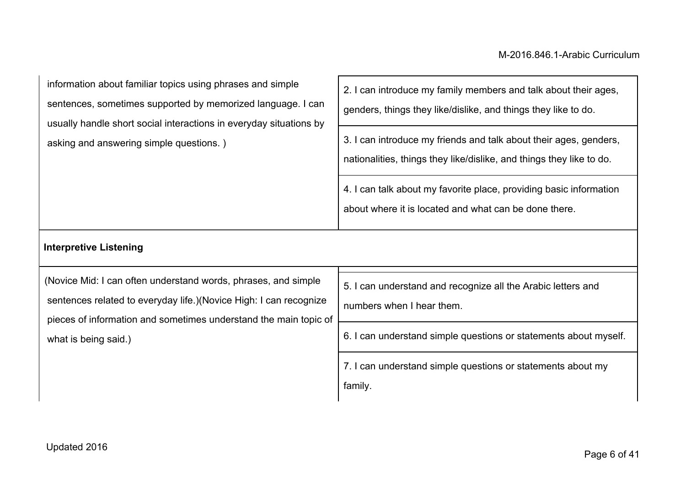| information about familiar topics using phrases and simple         | 2. I can introduce my family members and talk about their ages,                                                             |
|--------------------------------------------------------------------|-----------------------------------------------------------------------------------------------------------------------------|
| sentences, sometimes supported by memorized language. I can        | genders, things they like/dislike, and things they like to do.                                                              |
| usually handle short social interactions in everyday situations by | 3. I can introduce my friends and talk about their ages, genders,                                                           |
| asking and answering simple questions.)                            | nationalities, things they like/dislike, and things they like to do.                                                        |
|                                                                    | 4. I can talk about my favorite place, providing basic information<br>about where it is located and what can be done there. |

### **Interpretive Listening**

| (Novice Mid: I can often understand words, phrases, and simple     | 5. I can understand and recognize all the Arabic letters and     |
|--------------------------------------------------------------------|------------------------------------------------------------------|
| sentences related to everyday life.) (Novice High: I can recognize | numbers when I hear them.                                        |
| pieces of information and sometimes understand the main topic of   |                                                                  |
| what is being said.)                                               | 6. I can understand simple questions or statements about myself. |
|                                                                    | 7. I can understand simple questions or statements about my      |
|                                                                    | family.                                                          |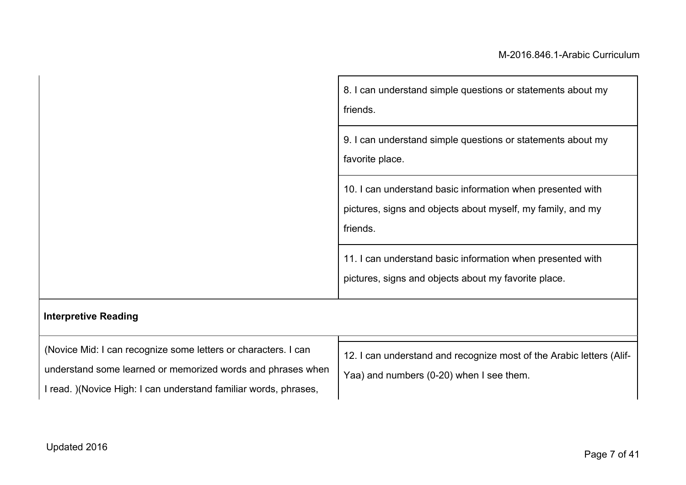| 8. I can understand simple questions or statements about my<br>friends.                                                               |
|---------------------------------------------------------------------------------------------------------------------------------------|
| 9. I can understand simple questions or statements about my<br>favorite place.                                                        |
| 10. I can understand basic information when presented with<br>pictures, signs and objects about myself, my family, and my<br>friends. |
| 11. I can understand basic information when presented with<br>pictures, signs and objects about my favorite place.                    |

# **Interpretive Reading**

| (Novice Mid: I can recognize some letters or characters. I can    | 12. I can understand and recognize most of the Arabic letters (Alif- |
|-------------------------------------------------------------------|----------------------------------------------------------------------|
| understand some learned or memorized words and phrases when       | Yaa) and numbers (0-20) when I see them.                             |
| I read. ) (Novice High: I can understand familiar words, phrases, |                                                                      |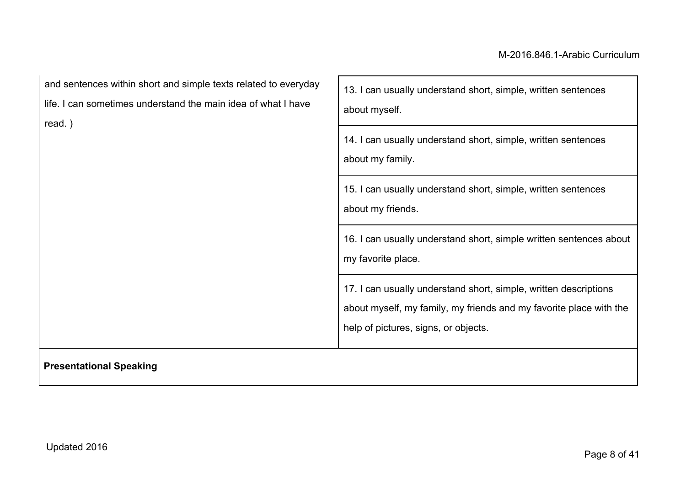| and sentences within short and simple texts related to everyday<br>life. I can sometimes understand the main idea of what I have<br>read.) | 13. I can usually understand short, simple, written sentences<br>about myself.                                                                                                 |  |
|--------------------------------------------------------------------------------------------------------------------------------------------|--------------------------------------------------------------------------------------------------------------------------------------------------------------------------------|--|
|                                                                                                                                            | 14. I can usually understand short, simple, written sentences<br>about my family.                                                                                              |  |
|                                                                                                                                            | 15. I can usually understand short, simple, written sentences<br>about my friends.                                                                                             |  |
|                                                                                                                                            | 16. I can usually understand short, simple written sentences about<br>my favorite place.                                                                                       |  |
|                                                                                                                                            | 17. I can usually understand short, simple, written descriptions<br>about myself, my family, my friends and my favorite place with the<br>help of pictures, signs, or objects. |  |
| <b>Presentational Speaking</b>                                                                                                             |                                                                                                                                                                                |  |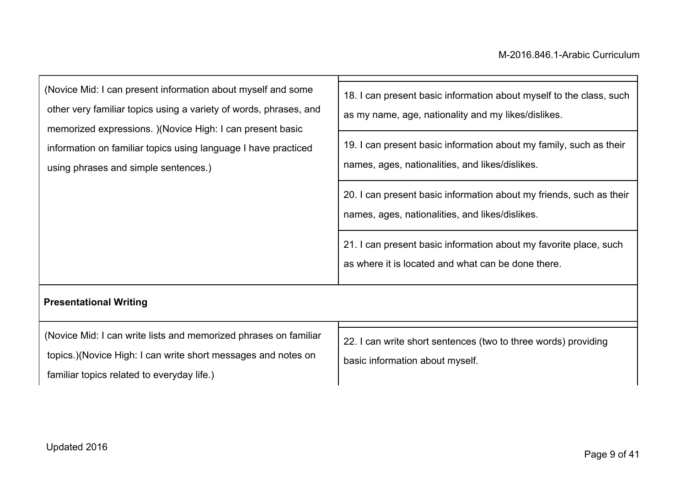| (Novice Mid: I can present information about myself and some      | 18. I can present basic information about myself to the class, such                                                    |
|-------------------------------------------------------------------|------------------------------------------------------------------------------------------------------------------------|
| other very familiar topics using a variety of words, phrases, and | as my name, age, nationality and my likes/dislikes.                                                                    |
| memorized expressions. )(Novice High: I can present basic         |                                                                                                                        |
| information on familiar topics using language I have practiced    | 19. I can present basic information about my family, such as their                                                     |
| using phrases and simple sentences.)                              | names, ages, nationalities, and likes/dislikes.                                                                        |
|                                                                   | 20. I can present basic information about my friends, such as their<br>names, ages, nationalities, and likes/dislikes. |
|                                                                   |                                                                                                                        |
|                                                                   | 21. I can present basic information about my favorite place, such                                                      |
|                                                                   | as where it is located and what can be done there.                                                                     |
| <b>Presentational Writing</b>                                     |                                                                                                                        |
| (Novice Mid: I can write lists and memorized phrases on familiar  | 22 Lean write short sentences (two to three words) providing                                                           |

topics.)(Novice High: I can write short messages and notes on

familiar topics related to everyday life.)

22. I can write short sentences (two to three words) providing basic information about myself.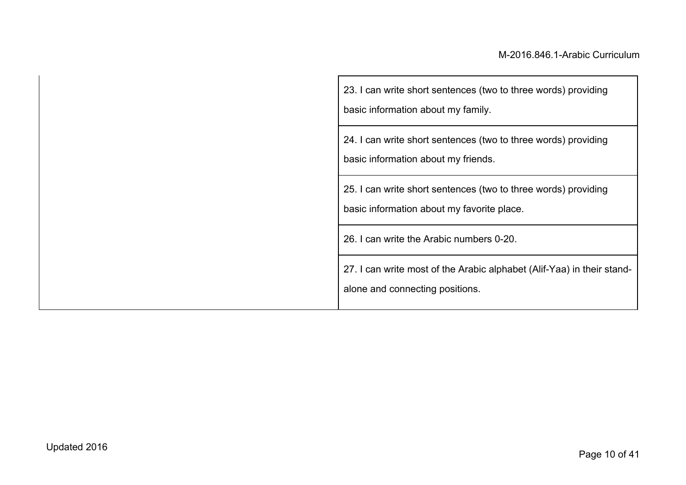| 23. I can write short sentences (two to three words) providing<br>basic information about my family.         |
|--------------------------------------------------------------------------------------------------------------|
| 24. I can write short sentences (two to three words) providing<br>basic information about my friends.        |
| 25. I can write short sentences (two to three words) providing<br>basic information about my favorite place. |
| 26. I can write the Arabic numbers 0-20.                                                                     |
| 27. I can write most of the Arabic alphabet (Alif-Yaa) in their stand-<br>alone and connecting positions.    |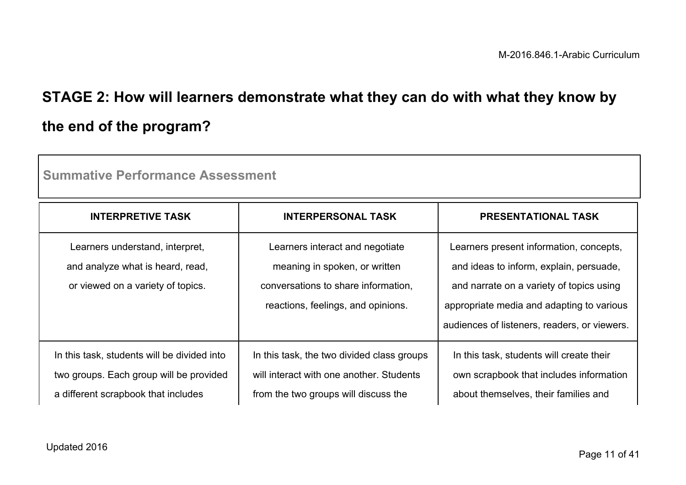# **STAGE 2: How will learners demonstrate what they can do with what they know by the end of the program?**

| <b>Summative Performance Assessment</b>                                                                                       |                                                                                                                                               |                                                                                                                                                                                                                             |  |
|-------------------------------------------------------------------------------------------------------------------------------|-----------------------------------------------------------------------------------------------------------------------------------------------|-----------------------------------------------------------------------------------------------------------------------------------------------------------------------------------------------------------------------------|--|
| <b>INTERPRETIVE TASK</b>                                                                                                      | <b>INTERPERSONAL TASK</b>                                                                                                                     | <b>PRESENTATIONAL TASK</b>                                                                                                                                                                                                  |  |
| Learners understand, interpret,<br>and analyze what is heard, read,<br>or viewed on a variety of topics.                      | Learners interact and negotiate<br>meaning in spoken, or written<br>conversations to share information.<br>reactions, feelings, and opinions. | Learners present information, concepts,<br>and ideas to inform, explain, persuade,<br>and narrate on a variety of topics using<br>appropriate media and adapting to various<br>audiences of listeners, readers, or viewers. |  |
| In this task, students will be divided into<br>two groups. Each group will be provided<br>a different scrapbook that includes | In this task, the two divided class groups<br>will interact with one another. Students<br>from the two groups will discuss the                | In this task, students will create their<br>own scrapbook that includes information<br>about themselves, their families and                                                                                                 |  |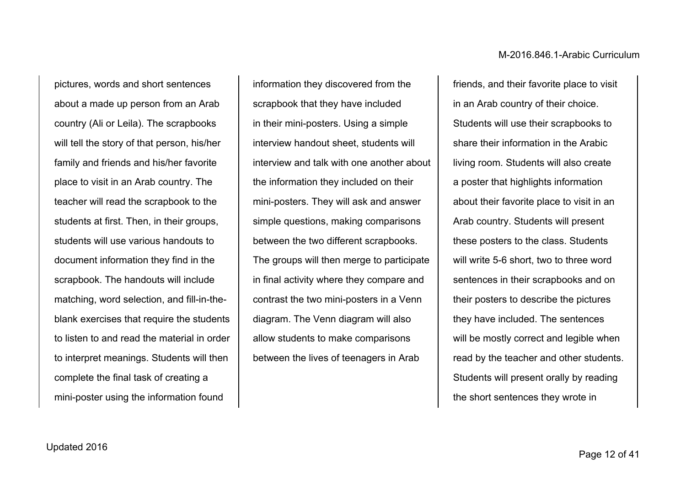pictures, words and short sentences about a made up person from an Arab country (Ali or Leila). The scrapbooks will tell the story of that person, his/her family and friends and his/her favorite place to visit in an Arab country. The teacher will read the scrapbook to the students at first. Then, in their groups, students will use various handouts to document information they find in the scrapbook. The handouts will include matching, word selection, and fill-in-theblank exercises that require the students to listen to and read the material in order to interpret meanings. Students will then complete the final task of creating a mini-poster using the information found

information they discovered from the scrapbook that they have included in their mini-posters. Using a simple interview handout sheet, students will interview and talk with one another about the information they included on their mini-posters. They will ask and answer simple questions, making comparisons between the two different scrapbooks. The groups will then merge to participate in final activity where they compare and contrast the two mini-posters in a Venn diagram. The Venn diagram will also allow students to make comparisons between the lives of teenagers in Arab

friends, and their favorite place to visit in an Arab country of their choice. Students will use their scrapbooks to share their information in the Arabic living room. Students will also create a poster that highlights information about their favorite place to visit in an Arab country. Students will present these posters to the class. Students will write 5-6 short, two to three word sentences in their scrapbooks and on their posters to describe the pictures they have included. The sentences will be mostly correct and legible when read by the teacher and other students. Students will present orally by reading the short sentences they wrote in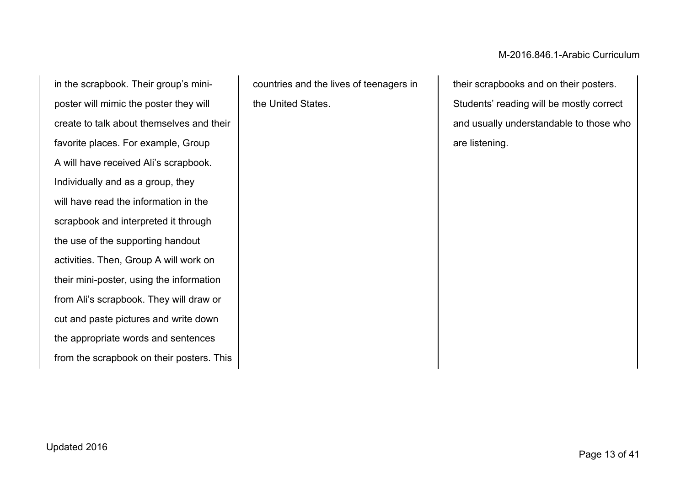in the scrapbook. Their group's miniposter will mimic the poster they will create to talk about themselves and their favorite places. For example, Group A will have received Ali's scrapbook. Individually and as a group, they will have read the information in the scrapbook and interpreted it through the use of the supporting handout activities. Then, Group A will work on their mini-poster, using the information from Ali's scrapbook. They will draw or cut and paste pictures and write down the appropriate words and sentences from the scrapbook on their posters. This

countries and the lives of teenagers in the United States.

M-2016.846.1-Arabic Curriculum

their scrapbooks and on their posters. Students' reading will be mostly correct and usually understandable to those who are listening.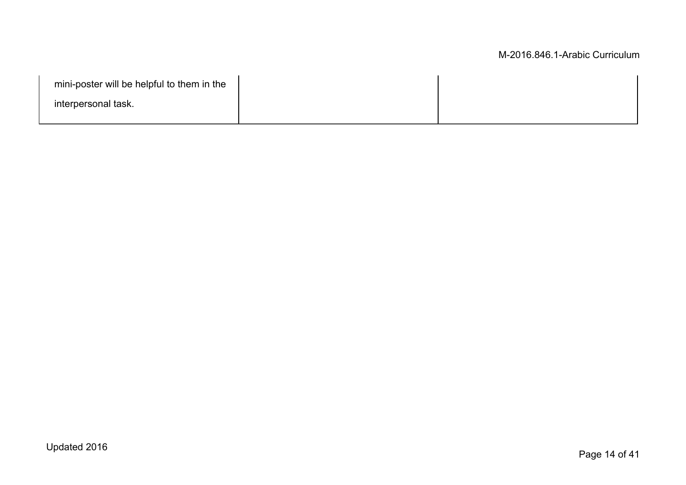| mini-poster will be helpful to them in the |  |
|--------------------------------------------|--|
| interpersonal task.                        |  |
|                                            |  |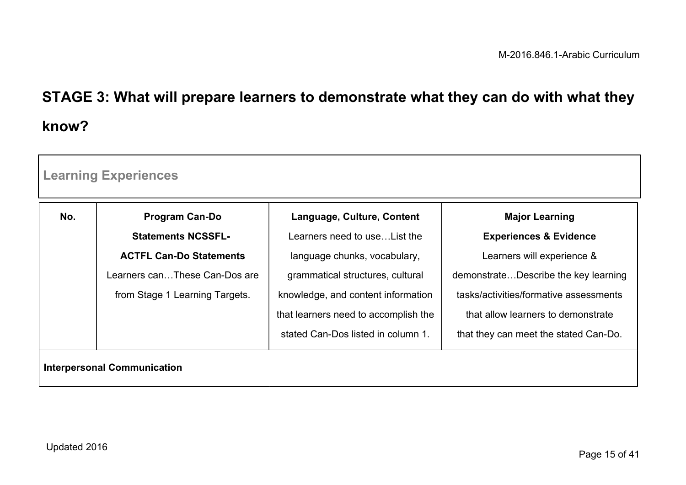# **STAGE 3: What will prepare learners to demonstrate what they can do with what they know?**

|     | <b>Learning Experiences</b>        |                                      |                                        |
|-----|------------------------------------|--------------------------------------|----------------------------------------|
| No. | <b>Program Can-Do</b>              | Language, Culture, Content           | <b>Major Learning</b>                  |
|     | <b>Statements NCSSFL-</b>          | Learners need to use List the        | <b>Experiences &amp; Evidence</b>      |
|     | <b>ACTFL Can-Do Statements</b>     | language chunks, vocabulary,         | Learners will experience &             |
|     | Learners canThese Can-Dos are      | grammatical structures, cultural     | demonstrateDescribe the key learning   |
|     | from Stage 1 Learning Targets.     | knowledge, and content information   | tasks/activities/formative assessments |
|     |                                    | that learners need to accomplish the | that allow learners to demonstrate     |
|     |                                    | stated Can-Dos listed in column 1.   | that they can meet the stated Can-Do.  |
|     | <b>Interpersonal Communication</b> |                                      |                                        |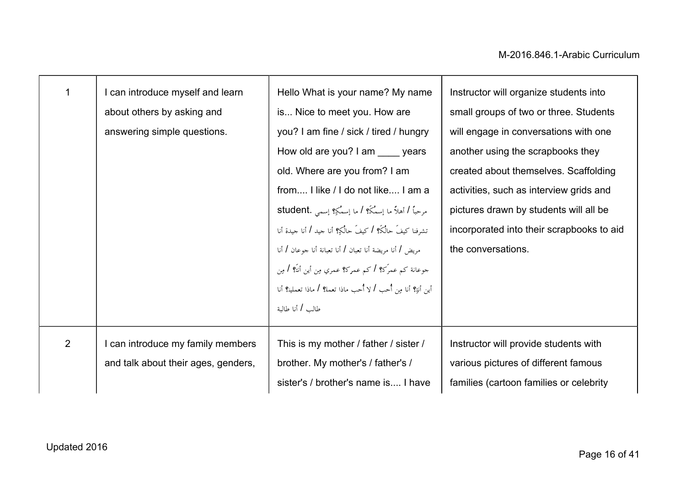| 1              | I can introduce myself and learn    | Hello What is your name? My name                                  | Instructor will organize students into    |
|----------------|-------------------------------------|-------------------------------------------------------------------|-------------------------------------------|
|                | about others by asking and          | is Nice to meet you. How are                                      | small groups of two or three. Students    |
|                | answering simple questions.         | you? I am fine / sick / tired / hungry                            | will engage in conversations with one     |
|                |                                     | How old are you? I am years                                       | another using the scrapbooks they         |
|                |                                     | old. Where are you from? I am                                     | created about themselves. Scaffolding     |
|                |                                     | from I like / I do not like I am a                                | activities, such as interview grids and   |
|                |                                     | مرحباً / أهلاً ما إسمُكَ؟ / ما إسمُكِ؟ إسمى .student              | pictures drawn by students will all be    |
|                |                                     | تشرفنا كيفَ حالُكَ؟ / كيفَ حالُكِ؟ أنا جيد / أنا جيدة أنا         | incorporated into their scrapbooks to aid |
|                |                                     | مريض / أنا مريضة أنا تعبان / أنا تعبانة أنا جوعان / أنا           | the conversations.                        |
|                |                                     | جوعانة كم عمرَك؟ / كم عمرك؟ عمري مِن أين أنت <sup>م</sup> ؟ / مِن |                                           |
|                |                                     | أين أنةٍ؟ أنا مِن أحب / لا أُحب ماذا تعمل؟ / ماذا تعملين؟ أنا     |                                           |
|                |                                     | طالب / أنا طالبة                                                  |                                           |
|                |                                     |                                                                   |                                           |
| $\overline{2}$ | I can introduce my family members   | This is my mother / father / sister /                             | Instructor will provide students with     |
|                | and talk about their ages, genders, | brother. My mother's / father's /                                 | various pictures of different famous      |
|                |                                     | sister's / brother's name is I have                               | families (cartoon families or celebrity   |
|                |                                     |                                                                   |                                           |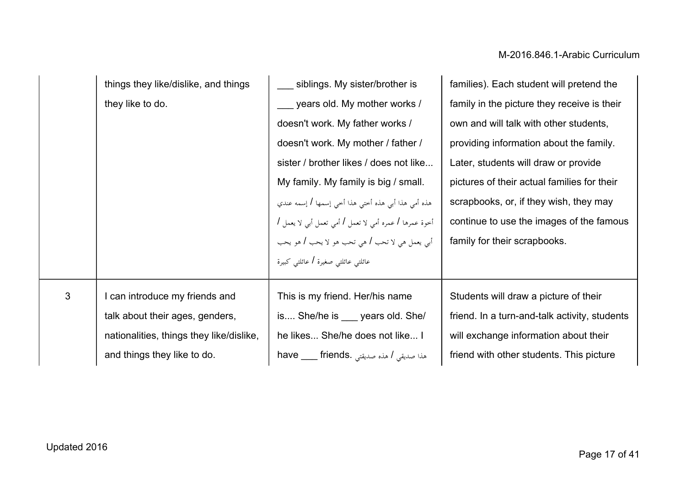|                | things they like/dislike, and things     | siblings. My sister/brother is                         | families). Each student will pretend the      |
|----------------|------------------------------------------|--------------------------------------------------------|-----------------------------------------------|
|                | they like to do.                         | years old. My mother works /                           | family in the picture they receive is their   |
|                |                                          | doesn't work. My father works /                        | own and will talk with other students,        |
|                |                                          | doesn't work. My mother / father /                     | providing information about the family.       |
|                |                                          | sister / brother likes / does not like                 | Later, students will draw or provide          |
|                |                                          | My family. My family is big / small.                   | pictures of their actual families for their   |
|                |                                          | هذه أمي هذا أبي هذه أختى هذا أخي إسمها / إسمه عندي     | scrapbooks, or, if they wish, they may        |
|                |                                          | أخوة عمرها / عمره أمي لا تعمل / أمي تعمل أبي لا يعمل / | continue to use the images of the famous      |
|                |                                          | أبي يعمل هي لا تحب l هي تحب هو لا يحب l هو يحب         | family for their scrapbooks.                  |
|                |                                          | عائلتي عائلتي صغيرة / عائلتي كبيرة                     |                                               |
| $\mathfrak{Z}$ | I can introduce my friends and           | This is my friend. Her/his name                        | Students will draw a picture of their         |
|                | talk about their ages, genders,          | is She/he is <u>years</u> old. She/                    | friend. In a turn-and-talk activity, students |
|                | nationalities, things they like/dislike, | he likes She/he does not like I                        | will exchange information about their         |
|                | and things they like to do.              | have ___ friends. مذه صديقتى . have ____ friends       | friend with other students. This picture      |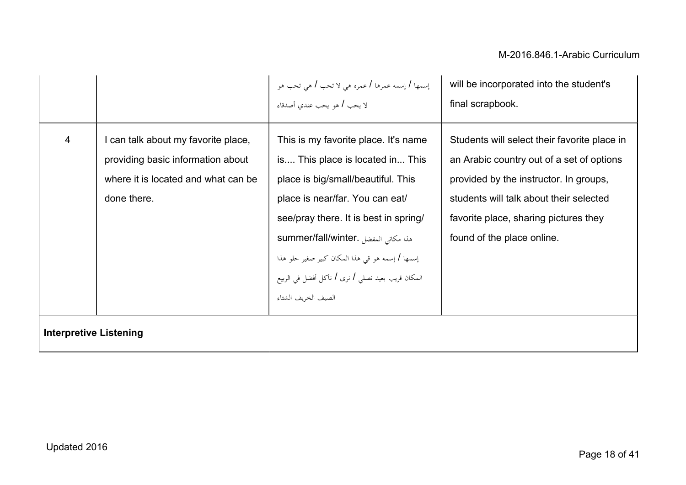|                               |                                                                                                                              | إسمها / إسمه عمرها / عمره هي لا تحب / هي تحب هو<br>لا يحب / هو يحب عندي أصدقاء                                                                                                                                                                                                                                                                                    | will be incorporated into the student's                                                                                                                                                                                                               |
|-------------------------------|------------------------------------------------------------------------------------------------------------------------------|-------------------------------------------------------------------------------------------------------------------------------------------------------------------------------------------------------------------------------------------------------------------------------------------------------------------------------------------------------------------|-------------------------------------------------------------------------------------------------------------------------------------------------------------------------------------------------------------------------------------------------------|
|                               |                                                                                                                              |                                                                                                                                                                                                                                                                                                                                                                   | final scrapbook.                                                                                                                                                                                                                                      |
| 4                             | can talk about my favorite place,<br>providing basic information about<br>where it is located and what can be<br>done there. | This is my favorite place. It's name<br>is This place is located in This<br>place is big/small/beautiful. This<br>place is near/far. You can eat/<br>see/pray there. It is best in spring/<br>summer/fall/winter. هذا مكانى المفضل<br>إسمها / إسمه هو قي هذا المكان كبير صغير حلو هذا<br>المكان قريب بعيد نصلي / نرى / نأكل أفضل في الربيع<br>الصيف الخريف الشتاء | Students will select their favorite place in<br>an Arabic country out of a set of options<br>provided by the instructor. In groups,<br>students will talk about their selected<br>favorite place, sharing pictures they<br>found of the place online. |
| <b>Interpretive Listening</b> |                                                                                                                              |                                                                                                                                                                                                                                                                                                                                                                   |                                                                                                                                                                                                                                                       |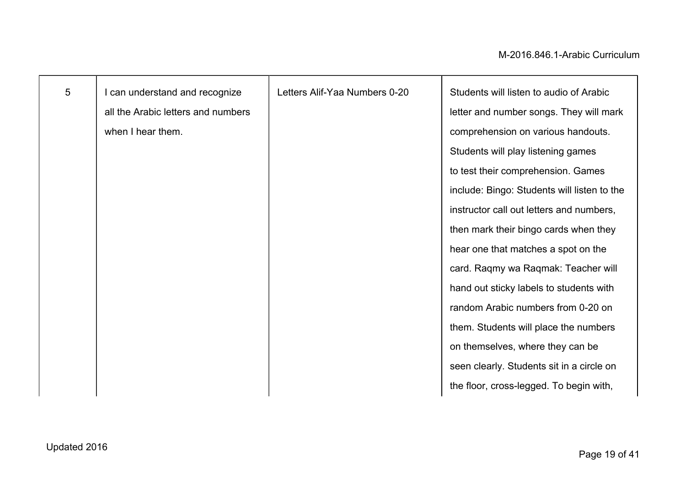| $5\phantom{.0}$ | I can understand and recognize     | Letters Alif-Yaa Numbers 0-20 | Students will listen to audio of Arabic     |
|-----------------|------------------------------------|-------------------------------|---------------------------------------------|
|                 | all the Arabic letters and numbers |                               | letter and number songs. They will mark     |
|                 | when I hear them.                  |                               | comprehension on various handouts.          |
|                 |                                    |                               | Students will play listening games          |
|                 |                                    |                               | to test their comprehension. Games          |
|                 |                                    |                               | include: Bingo: Students will listen to the |
|                 |                                    |                               | instructor call out letters and numbers,    |
|                 |                                    |                               | then mark their bingo cards when they       |
|                 |                                    |                               | hear one that matches a spot on the         |
|                 |                                    |                               | card. Raqmy wa Raqmak: Teacher will         |
|                 |                                    |                               | hand out sticky labels to students with     |
|                 |                                    |                               | random Arabic numbers from 0-20 on          |
|                 |                                    |                               | them. Students will place the numbers       |
|                 |                                    |                               | on themselves, where they can be            |
|                 |                                    |                               | seen clearly. Students sit in a circle on   |
|                 |                                    |                               | the floor, cross-legged. To begin with,     |
|                 |                                    |                               |                                             |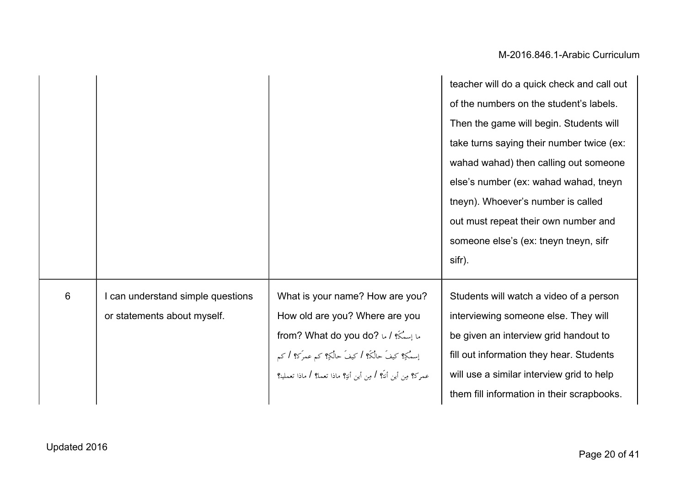|   |                                                                |                                                                                                                                                                                                                                          | teacher will do a quick check and call out<br>of the numbers on the student's labels.<br>Then the game will begin. Students will<br>take turns saying their number twice (ex:<br>wahad wahad) then calling out someone<br>else's number (ex: wahad wahad, tneyn<br>tneyn). Whoever's number is called<br>out must repeat their own number and<br>someone else's (ex: tneyn tneyn, sifr<br>sifr). |
|---|----------------------------------------------------------------|------------------------------------------------------------------------------------------------------------------------------------------------------------------------------------------------------------------------------------------|--------------------------------------------------------------------------------------------------------------------------------------------------------------------------------------------------------------------------------------------------------------------------------------------------------------------------------------------------------------------------------------------------|
| 6 | can understand simple questions<br>or statements about myself. | What is your name? How are you?<br>How old are you? Where are you<br>ما إِسْتُكَ؟ / ما from? What do you do? له ا<br>إسمُكِ؟ كيفَ حالُكَ؟ / كيفَ حالُكِ؟ كم عمرَك؟ / كم<br>عمرك؟ مِن أين أنتَ؟ / مِن أين أنةِ؟ ماذا تعمل؟ / ماذا تعملين؟ | Students will watch a video of a person<br>interviewing someone else. They will<br>be given an interview grid handout to<br>fill out information they hear. Students<br>will use a similar interview grid to help<br>them fill information in their scrapbooks.                                                                                                                                  |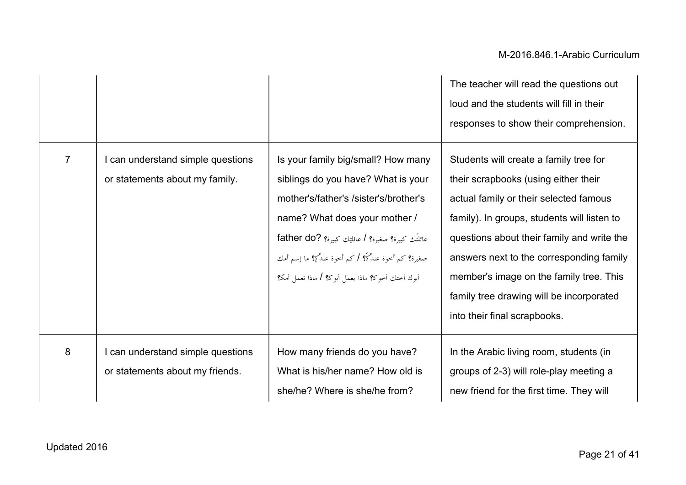|                |                                                                     |                                                                                                                                                                                                                                                                                                                    | The teacher will read the questions out<br>loud and the students will fill in their<br>responses to show their comprehension.                                                                                                                                                                                                                                                            |
|----------------|---------------------------------------------------------------------|--------------------------------------------------------------------------------------------------------------------------------------------------------------------------------------------------------------------------------------------------------------------------------------------------------------------|------------------------------------------------------------------------------------------------------------------------------------------------------------------------------------------------------------------------------------------------------------------------------------------------------------------------------------------------------------------------------------------|
| $\overline{7}$ | I can understand simple questions<br>or statements about my family. | Is your family big/small? How many<br>siblings do you have? What is your<br>mother's/father's /sister's/brother's<br>name? What does your mother /<br>عائلتَك كبيرة؟ صغيرة؟ / عائلتِك كبيرة؟ ?father do<br>صغيرة؟ كم أخوة عندُكَ؟ / كم أخوة عندُكِ؟ ما إسم أمك<br>أبوك أختك أخوك؟ ماذا يعمل أبوك؟ / ماذا تعمل أمك؟ | Students will create a family tree for<br>their scrapbooks (using either their<br>actual family or their selected famous<br>family). In groups, students will listen to<br>questions about their family and write the<br>answers next to the corresponding family<br>member's image on the family tree. This<br>family tree drawing will be incorporated<br>into their final scrapbooks. |
| 8              | can understand simple questions<br>or statements about my friends.  | How many friends do you have?<br>What is his/her name? How old is<br>she/he? Where is she/he from?                                                                                                                                                                                                                 | In the Arabic living room, students (in<br>groups of 2-3) will role-play meeting a<br>new friend for the first time. They will                                                                                                                                                                                                                                                           |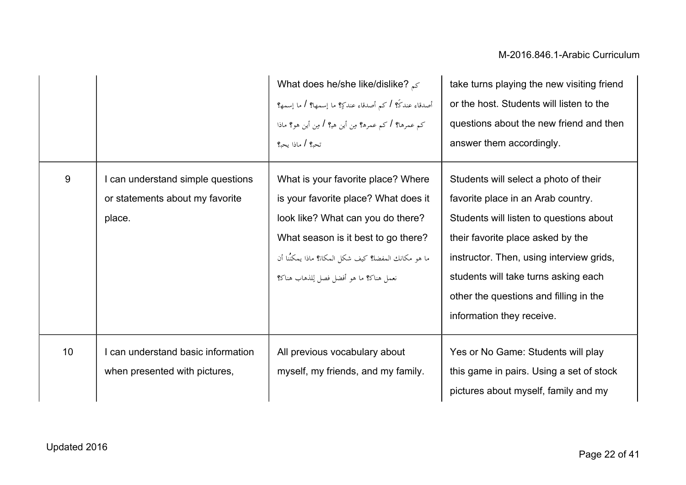|    |                                                                                | What does he/she like/dislike? $\leq$<br>أصدقاء عندكَ؟ / كم أصدقاء عندكِ؟ ما إسمها؟ / ما إسمه؟<br>کم عمرها؟ / کم عمرہ؟ مِن أين هي؟ / مِن أين هو؟ ماذا<br>تحب؟ / ماذا يحب؟                                                                                | take turns playing the new visiting friend<br>or the host. Students will listen to the<br>questions about the new friend and then<br>answer them accordingly.                                                                                                                                                          |
|----|--------------------------------------------------------------------------------|----------------------------------------------------------------------------------------------------------------------------------------------------------------------------------------------------------------------------------------------------------|------------------------------------------------------------------------------------------------------------------------------------------------------------------------------------------------------------------------------------------------------------------------------------------------------------------------|
| 9  | I can understand simple questions<br>or statements about my favorite<br>place. | What is your favorite place? Where<br>is your favorite place? What does it<br>look like? What can you do there?<br>What season is it best to go there?<br>ما هو مكانك المفضل؟ كيف شكل المكان؟ ماذا يمكنُنا أن<br>نعمل هناك؟ ما هو أفضل فصل لِلذهاب هناك؟ | Students will select a photo of their<br>favorite place in an Arab country.<br>Students will listen to questions about<br>their favorite place asked by the<br>instructor. Then, using interview grids,<br>students will take turns asking each<br>other the questions and filling in the<br>information they receive. |
| 10 | can understand basic information<br>when presented with pictures,              | All previous vocabulary about<br>myself, my friends, and my family.                                                                                                                                                                                      | Yes or No Game: Students will play<br>this game in pairs. Using a set of stock<br>pictures about myself, family and my                                                                                                                                                                                                 |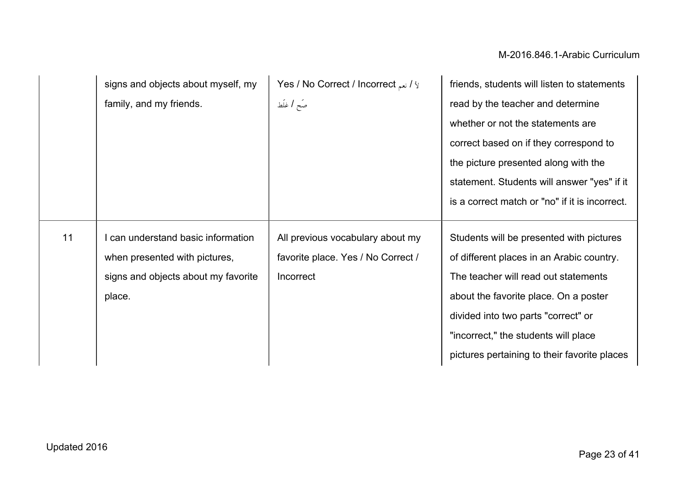|    | signs and objects about myself, my  | Yes / No Correct / Incorrect $\mu$ i | friends, students will listen to statements    |
|----|-------------------------------------|--------------------------------------|------------------------------------------------|
|    | family, and my friends.             | صَح   غلَط                           | read by the teacher and determine              |
|    |                                     |                                      | whether or not the statements are              |
|    |                                     |                                      | correct based on if they correspond to         |
|    |                                     |                                      | the picture presented along with the           |
|    |                                     |                                      | statement. Students will answer "yes" if it    |
|    |                                     |                                      | is a correct match or "no" if it is incorrect. |
|    |                                     |                                      |                                                |
| 11 | can understand basic information    | All previous vocabulary about my     | Students will be presented with pictures       |
|    | when presented with pictures,       | favorite place. Yes / No Correct /   | of different places in an Arabic country.      |
|    | signs and objects about my favorite | Incorrect                            | The teacher will read out statements           |
|    | place.                              |                                      | about the favorite place. On a poster          |
|    |                                     |                                      | divided into two parts "correct" or            |
|    |                                     |                                      | "incorrect," the students will place           |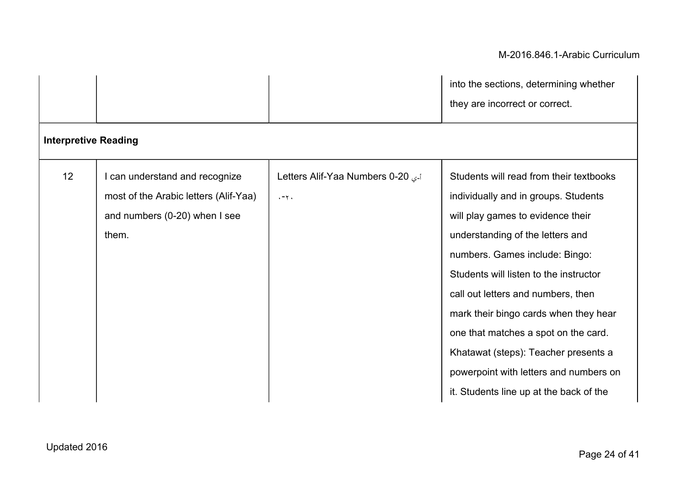|                             |                                       |                                  | into the sections, determining whether  |  |
|-----------------------------|---------------------------------------|----------------------------------|-----------------------------------------|--|
|                             |                                       |                                  | they are incorrect or correct.          |  |
| <b>Interpretive Reading</b> |                                       |                                  |                                         |  |
| 12                          | I can understand and recognize        | Letters Alif-Yaa Numbers 0-20 رج | Students will read from their textbooks |  |
|                             | most of the Arabic letters (Alif-Yaa) | $. -7.$                          | individually and in groups. Students    |  |
|                             | and numbers (0-20) when I see         |                                  | will play games to evidence their       |  |
|                             | them.                                 |                                  | understanding of the letters and        |  |
|                             |                                       |                                  | numbers. Games include: Bingo:          |  |
|                             |                                       |                                  | Students will listen to the instructor  |  |
|                             |                                       |                                  | call out letters and numbers, then      |  |
|                             |                                       |                                  | mark their bingo cards when they hear   |  |
|                             |                                       |                                  | one that matches a spot on the card.    |  |
|                             |                                       |                                  | Khatawat (steps): Teacher presents a    |  |
|                             |                                       |                                  | powerpoint with letters and numbers on  |  |
|                             |                                       |                                  | it. Students line up at the back of the |  |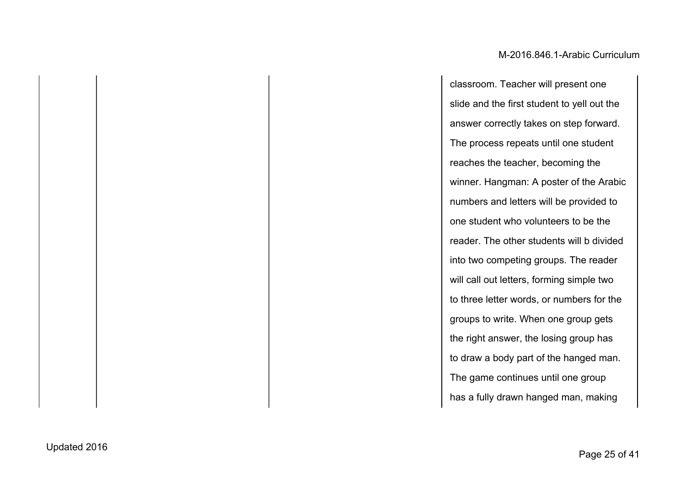classroom. Teacher will present one slide and the first student to yell out the answer correctly takes on step forward. The process repeats until one student reaches the teacher, becoming the winner. Hangman: A poster of the Arabic numbers and letters will be provided to one student who volunteers to be the reader. The other students will b divided into two competing groups. The reader will call out letters, forming simple two to three letter words, or numbers for the groups to write. When one group gets the right answer, the losing group has to draw a body part of the hanged man. The game continues until one group has a fully drawn hanged man, making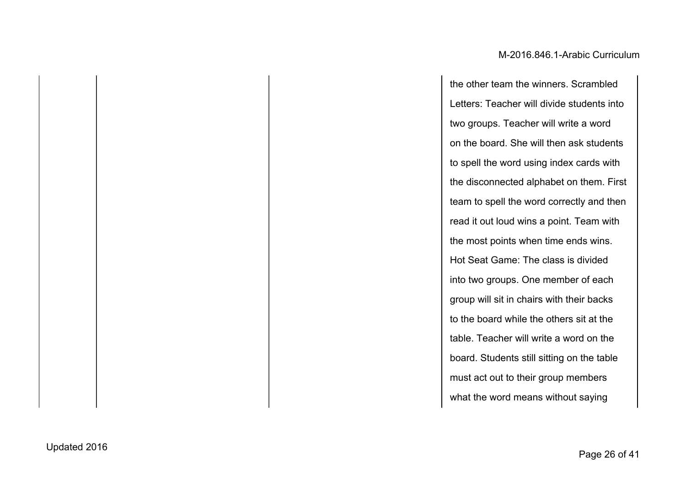the other team the winners. Scrambled Letters: Teacher will divide students into two groups. Teacher will write a word on the board. She will then ask students to spell the word using index cards with the disconnected alphabet on them. First team to spell the word correctly and then read it out loud wins a point. Team with the most points when time ends wins. Hot Seat Game: The class is divided into two groups. One member of each group will sit in chairs with their backs to the board while the others sit at the table. Teacher will write a word on the board. Students still sitting on the table must act out to their group members what the word means without saying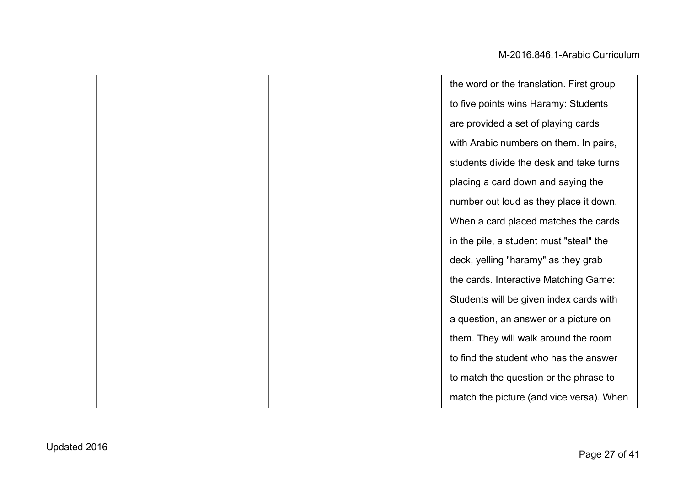the word or the translation. First group to five points wins Haramy: Students are provided a set of playing cards with Arabic numbers on them. In pairs, students divide the desk and take turns placing a card down and saying the number out loud as they place it down. When a card placed matches the cards in the pile, a student must "steal" the deck, yelling "haramy" as they grab the cards. Interactive Matching Game: Students will be given index cards with a question, an answer or a picture on them. They will walk around the room to find the student who has the answer to match the question or the phrase to match the picture (and vice versa). When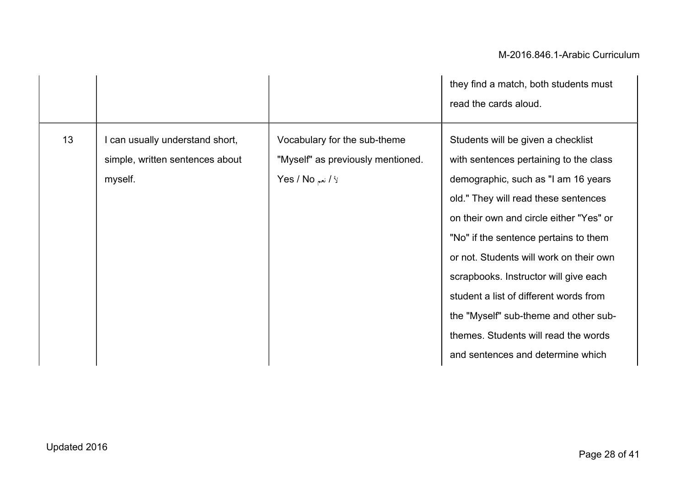|    |                                                                               |                                                                                                         | they find a match, both students must<br>read the cards aloud.                                                                                                                                                                                                                                                                                                                                                                                                                                      |
|----|-------------------------------------------------------------------------------|---------------------------------------------------------------------------------------------------------|-----------------------------------------------------------------------------------------------------------------------------------------------------------------------------------------------------------------------------------------------------------------------------------------------------------------------------------------------------------------------------------------------------------------------------------------------------------------------------------------------------|
| 13 | I can usually understand short,<br>simple, written sentences about<br>myself. | Vocabulary for the sub-theme<br>"Myself" as previously mentioned.<br><b>Yes / No</b> انعم $\frac{1}{2}$ | Students will be given a checklist<br>with sentences pertaining to the class<br>demographic, such as "I am 16 years<br>old." They will read these sentences<br>on their own and circle either "Yes" or<br>"No" if the sentence pertains to them<br>or not. Students will work on their own<br>scrapbooks. Instructor will give each<br>student a list of different words from<br>the "Myself" sub-theme and other sub-<br>themes. Students will read the words<br>and sentences and determine which |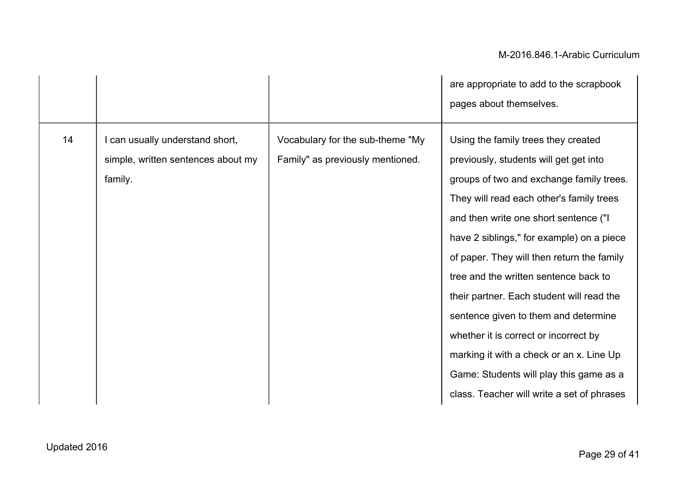|    |                                                                                |                                                                      | are appropriate to add to the scrapbook<br>pages about themselves.                                                                                                                                                                                                                                                                                                                                                                                                                                                                                                                                                    |
|----|--------------------------------------------------------------------------------|----------------------------------------------------------------------|-----------------------------------------------------------------------------------------------------------------------------------------------------------------------------------------------------------------------------------------------------------------------------------------------------------------------------------------------------------------------------------------------------------------------------------------------------------------------------------------------------------------------------------------------------------------------------------------------------------------------|
| 14 | can usually understand short,<br>simple, written sentences about my<br>family. | Vocabulary for the sub-theme "My<br>Family" as previously mentioned. | Using the family trees they created<br>previously, students will get get into<br>groups of two and exchange family trees.<br>They will read each other's family trees<br>and then write one short sentence ("I<br>have 2 siblings," for example) on a piece<br>of paper. They will then return the family<br>tree and the written sentence back to<br>their partner. Each student will read the<br>sentence given to them and determine<br>whether it is correct or incorrect by<br>marking it with a check or an x. Line Up<br>Game: Students will play this game as a<br>class. Teacher will write a set of phrases |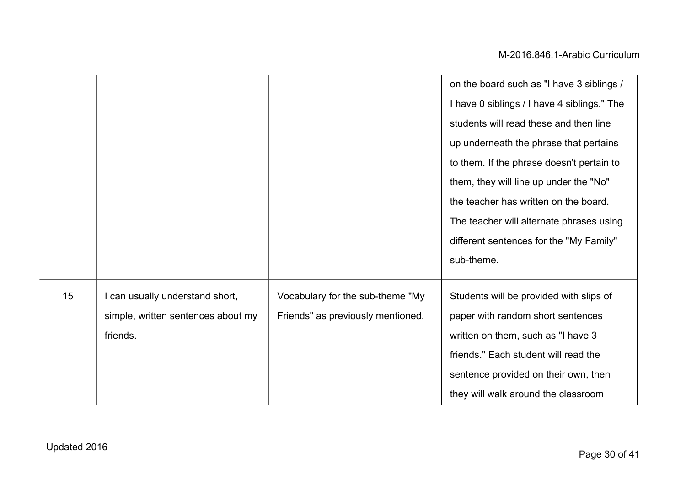|    |                                    |                                   | on the board such as "I have 3 siblings /   |
|----|------------------------------------|-----------------------------------|---------------------------------------------|
|    |                                    |                                   | I have 0 siblings / I have 4 siblings." The |
|    |                                    |                                   | students will read these and then line      |
|    |                                    |                                   | up underneath the phrase that pertains      |
|    |                                    |                                   | to them. If the phrase doesn't pertain to   |
|    |                                    |                                   | them, they will line up under the "No"      |
|    |                                    |                                   | the teacher has written on the board.       |
|    |                                    |                                   | The teacher will alternate phrases using    |
|    |                                    |                                   | different sentences for the "My Family"     |
|    |                                    |                                   | sub-theme.                                  |
| 15 | can usually understand short,      | Vocabulary for the sub-theme "My  | Students will be provided with slips of     |
|    | simple, written sentences about my | Friends" as previously mentioned. | paper with random short sentences           |
|    | friends.                           |                                   | written on them, such as "I have 3          |
|    |                                    |                                   | friends." Each student will read the        |
|    |                                    |                                   | sentence provided on their own, then        |
|    |                                    |                                   | they will walk around the classroom         |
|    |                                    |                                   |                                             |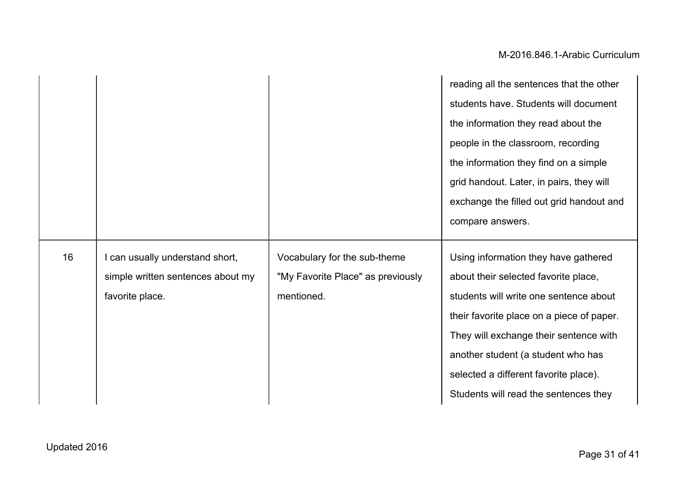|    |                                   |                                   | reading all the sentences that the other  |
|----|-----------------------------------|-----------------------------------|-------------------------------------------|
|    |                                   |                                   | students have. Students will document     |
|    |                                   |                                   | the information they read about the       |
|    |                                   |                                   | people in the classroom, recording        |
|    |                                   |                                   | the information they find on a simple     |
|    |                                   |                                   | grid handout. Later, in pairs, they will  |
|    |                                   |                                   | exchange the filled out grid handout and  |
|    |                                   |                                   | compare answers.                          |
|    |                                   |                                   |                                           |
|    |                                   |                                   |                                           |
| 16 | I can usually understand short,   | Vocabulary for the sub-theme      | Using information they have gathered      |
|    | simple written sentences about my | "My Favorite Place" as previously | about their selected favorite place,      |
|    | favorite place.                   | mentioned.                        | students will write one sentence about    |
|    |                                   |                                   | their favorite place on a piece of paper. |
|    |                                   |                                   | They will exchange their sentence with    |
|    |                                   |                                   | another student (a student who has        |
|    |                                   |                                   | selected a different favorite place).     |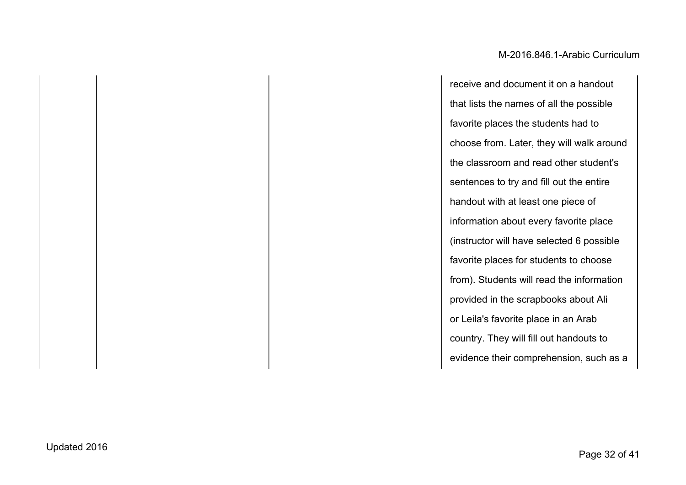receive and document it on a handout that lists the names of all the possible favorite places the students had to choose from. Later, they will walk around the classroom and read other student's sentences to try and fill out the entire handout with at least one piece of information about every favorite place (instructor will have selected 6 possible favorite places for students to choose from). Students will read the information provided in the scrapbooks about Ali or Leila's favorite place in an Arab country. They will fill out handouts to evidence their comprehension, such as a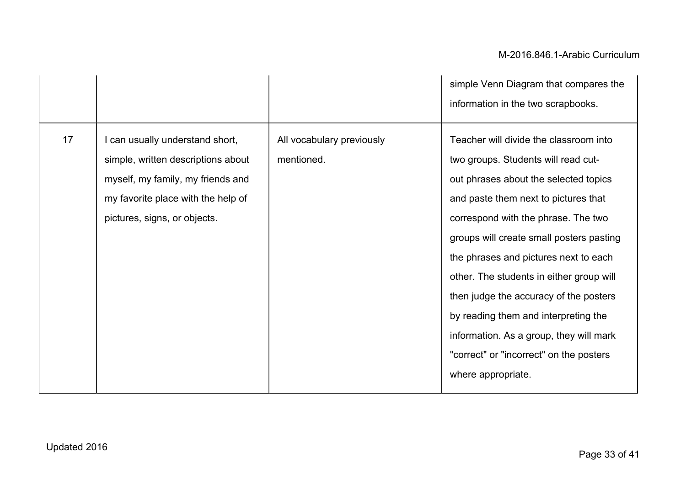|    |                                                                                                                                                                                  |                                         | simple Venn Diagram that compares the                                                                                                                                                                                                                                                                                                                                                                                                                                                                          |
|----|----------------------------------------------------------------------------------------------------------------------------------------------------------------------------------|-----------------------------------------|----------------------------------------------------------------------------------------------------------------------------------------------------------------------------------------------------------------------------------------------------------------------------------------------------------------------------------------------------------------------------------------------------------------------------------------------------------------------------------------------------------------|
|    |                                                                                                                                                                                  |                                         | information in the two scrapbooks.                                                                                                                                                                                                                                                                                                                                                                                                                                                                             |
| 17 | I can usually understand short,<br>simple, written descriptions about<br>myself, my family, my friends and<br>my favorite place with the help of<br>pictures, signs, or objects. | All vocabulary previously<br>mentioned. | Teacher will divide the classroom into<br>two groups. Students will read cut-<br>out phrases about the selected topics<br>and paste them next to pictures that<br>correspond with the phrase. The two<br>groups will create small posters pasting<br>the phrases and pictures next to each<br>other. The students in either group will<br>then judge the accuracy of the posters<br>by reading them and interpreting the<br>information. As a group, they will mark<br>"correct" or "incorrect" on the posters |
|    |                                                                                                                                                                                  |                                         | where appropriate.                                                                                                                                                                                                                                                                                                                                                                                                                                                                                             |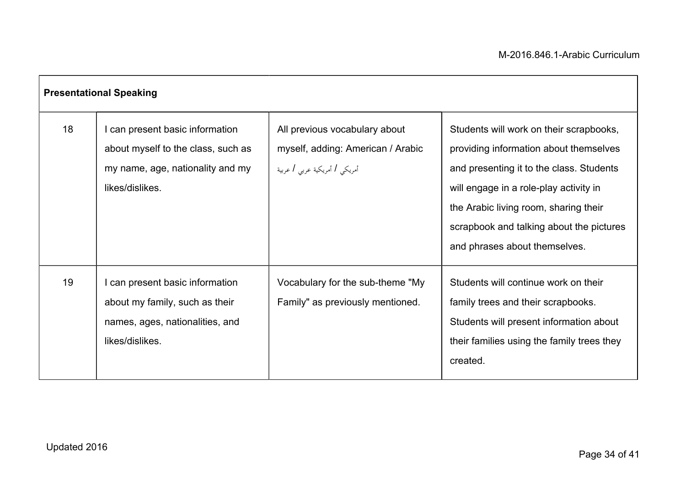|    | <b>Presentational Speaking</b>                                                                                               |                                                                                                     |                                                                                                                                                                                                                                                                                               |
|----|------------------------------------------------------------------------------------------------------------------------------|-----------------------------------------------------------------------------------------------------|-----------------------------------------------------------------------------------------------------------------------------------------------------------------------------------------------------------------------------------------------------------------------------------------------|
| 18 | I can present basic information<br>about myself to the class, such as<br>my name, age, nationality and my<br>likes/dislikes. | All previous vocabulary about<br>myself, adding: American / Arabic<br>أمريكي / أمريكية عربي / عربية | Students will work on their scrapbooks,<br>providing information about themselves<br>and presenting it to the class. Students<br>will engage in a role-play activity in<br>the Arabic living room, sharing their<br>scrapbook and talking about the pictures<br>and phrases about themselves. |
| 19 | I can present basic information<br>about my family, such as their<br>names, ages, nationalities, and<br>likes/dislikes.      | Vocabulary for the sub-theme "My<br>Family" as previously mentioned.                                | Students will continue work on their<br>family trees and their scrapbooks.<br>Students will present information about<br>their families using the family trees they<br>created.                                                                                                               |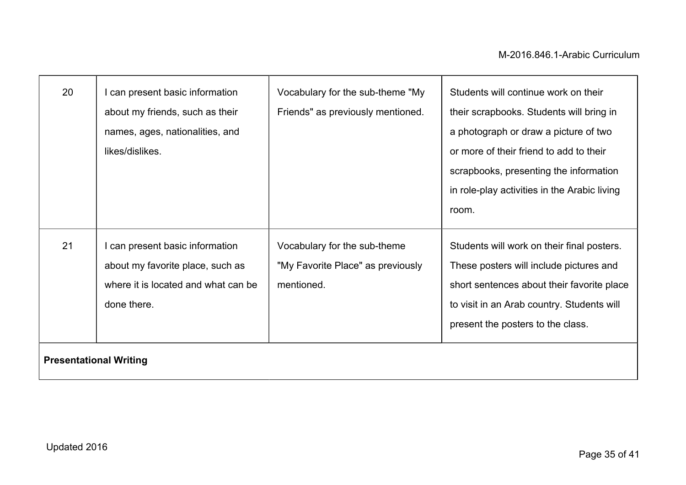| 20 | can present basic information<br>about my friends, such as their<br>names, ages, nationalities, and<br>likes/dislikes.                                     | Vocabulary for the sub-theme "My<br>Friends" as previously mentioned.           | Students will continue work on their<br>their scrapbooks. Students will bring in<br>a photograph or draw a picture of two<br>or more of their friend to add to their<br>scrapbooks, presenting the information<br>in role-play activities in the Arabic living<br>room. |
|----|------------------------------------------------------------------------------------------------------------------------------------------------------------|---------------------------------------------------------------------------------|-------------------------------------------------------------------------------------------------------------------------------------------------------------------------------------------------------------------------------------------------------------------------|
| 21 | I can present basic information<br>about my favorite place, such as<br>where it is located and what can be<br>done there.<br><b>Presentational Writing</b> | Vocabulary for the sub-theme<br>"My Favorite Place" as previously<br>mentioned. | Students will work on their final posters.<br>These posters will include pictures and<br>short sentences about their favorite place<br>to visit in an Arab country. Students will<br>present the posters to the class.                                                  |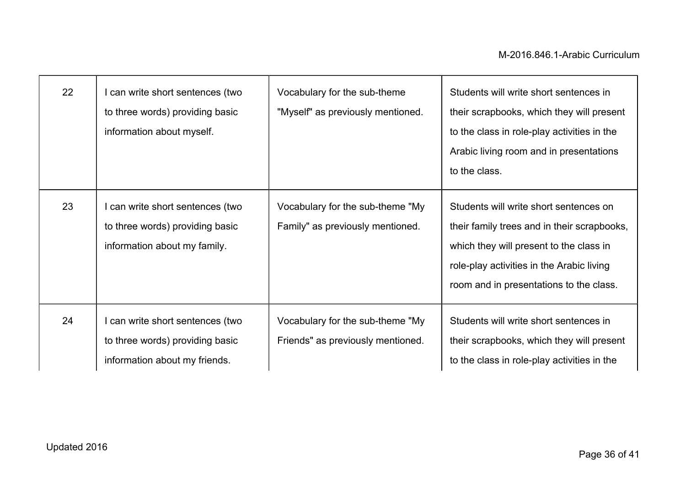| 22 | can write short sentences (two<br>to three words) providing basic<br>information about myself.       | Vocabulary for the sub-theme<br>"Myself" as previously mentioned.     | Students will write short sentences in<br>their scrapbooks, which they will present<br>to the class in role-play activities in the<br>Arabic living room and in presentations<br>to the class.                           |
|----|------------------------------------------------------------------------------------------------------|-----------------------------------------------------------------------|--------------------------------------------------------------------------------------------------------------------------------------------------------------------------------------------------------------------------|
| 23 | can write short sentences (two<br>to three words) providing basic<br>information about my family.    | Vocabulary for the sub-theme "My<br>Family" as previously mentioned.  | Students will write short sentences on<br>their family trees and in their scrapbooks,<br>which they will present to the class in<br>role-play activities in the Arabic living<br>room and in presentations to the class. |
| 24 | I can write short sentences (two<br>to three words) providing basic<br>information about my friends. | Vocabulary for the sub-theme "My<br>Friends" as previously mentioned. | Students will write short sentences in<br>their scrapbooks, which they will present<br>to the class in role-play activities in the                                                                                       |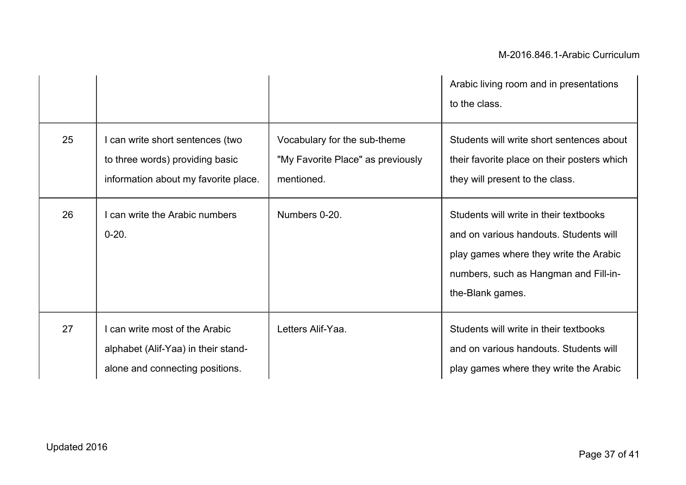|    |                                                                                                           |                                                                                 | Arabic living room and in presentations<br>to the class.                                                                                                                                |
|----|-----------------------------------------------------------------------------------------------------------|---------------------------------------------------------------------------------|-----------------------------------------------------------------------------------------------------------------------------------------------------------------------------------------|
| 25 | can write short sentences (two<br>to three words) providing basic<br>information about my favorite place. | Vocabulary for the sub-theme<br>"My Favorite Place" as previously<br>mentioned. | Students will write short sentences about<br>their favorite place on their posters which<br>they will present to the class.                                                             |
| 26 | can write the Arabic numbers<br>$0 - 20.$                                                                 | Numbers 0-20.                                                                   | Students will write in their textbooks<br>and on various handouts. Students will<br>play games where they write the Arabic<br>numbers, such as Hangman and Fill-in-<br>the-Blank games. |
| 27 | can write most of the Arabic<br>alphabet (Alif-Yaa) in their stand-<br>alone and connecting positions.    | Letters Alif-Yaa.                                                               | Students will write in their textbooks<br>and on various handouts. Students will<br>play games where they write the Arabic                                                              |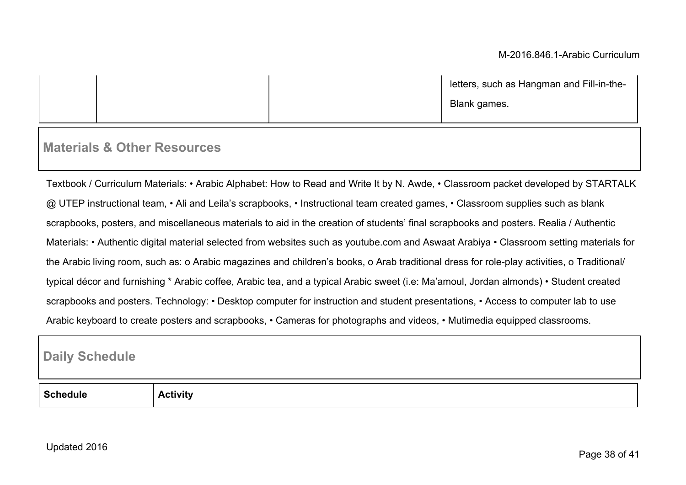| letters, such as Hangman and Fill-in-the- |
|-------------------------------------------|
| Blank games.                              |

# **Materials & Other Resources**

Textbook / Curriculum Materials: • Arabic Alphabet: How to Read and Write It by N. Awde, • Classroom packet developed by STARTALK @ UTEP instructional team, • Ali and Leila's scrapbooks, • Instructional team created games, • Classroom supplies such as blank scrapbooks, posters, and miscellaneous materials to aid in the creation of students' final scrapbooks and posters. Realia / Authentic Materials: • Authentic digital material selected from websites such as youtube.com and Aswaat Arabiya • Classroom setting materials for the Arabic living room, such as: o Arabic magazines and children's books, o Arab traditional dress for role-play activities, o Traditional/ typical décor and furnishing \* Arabic coffee, Arabic tea, and a typical Arabic sweet (i.e: Ma'amoul, Jordan almonds) • Student created scrapbooks and posters. Technology: • Desktop computer for instruction and student presentations, • Access to computer lab to use Arabic keyboard to create posters and scrapbooks, • Cameras for photographs and videos, • Mutimedia equipped classrooms.

### **Daily Schedule**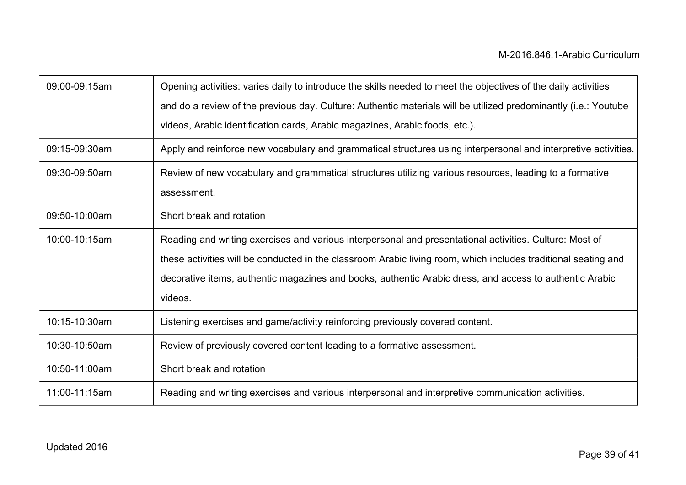| 09:00-09:15am | Opening activities: varies daily to introduce the skills needed to meet the objectives of the daily activities  |
|---------------|-----------------------------------------------------------------------------------------------------------------|
|               | and do a review of the previous day. Culture: Authentic materials will be utilized predominantly (i.e.: Youtube |
|               | videos, Arabic identification cards, Arabic magazines, Arabic foods, etc.).                                     |
| 09:15-09:30am | Apply and reinforce new vocabulary and grammatical structures using interpersonal and interpretive activities.  |
| 09:30-09:50am | Review of new vocabulary and grammatical structures utilizing various resources, leading to a formative         |
|               | assessment.                                                                                                     |
| 09:50-10:00am | Short break and rotation                                                                                        |
| 10:00-10:15am | Reading and writing exercises and various interpersonal and presentational activities. Culture: Most of         |
|               | these activities will be conducted in the classroom Arabic living room, which includes traditional seating and  |
|               | decorative items, authentic magazines and books, authentic Arabic dress, and access to authentic Arabic         |
|               | videos.                                                                                                         |
| 10:15-10:30am | Listening exercises and game/activity reinforcing previously covered content.                                   |
| 10:30-10:50am | Review of previously covered content leading to a formative assessment.                                         |
| 10:50-11:00am | Short break and rotation                                                                                        |
| 11:00-11:15am | Reading and writing exercises and various interpersonal and interpretive communication activities.              |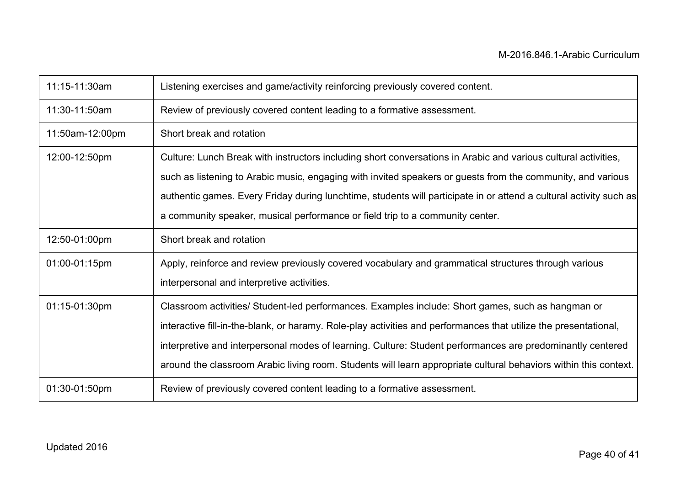| 11:15-11:30am   | Listening exercises and game/activity reinforcing previously covered content.                                      |
|-----------------|--------------------------------------------------------------------------------------------------------------------|
| 11:30-11:50am   | Review of previously covered content leading to a formative assessment.                                            |
| 11:50am-12:00pm | Short break and rotation                                                                                           |
| 12:00-12:50pm   | Culture: Lunch Break with instructors including short conversations in Arabic and various cultural activities,     |
|                 | such as listening to Arabic music, engaging with invited speakers or guests from the community, and various        |
|                 | authentic games. Every Friday during lunchtime, students will participate in or attend a cultural activity such as |
|                 | a community speaker, musical performance or field trip to a community center.                                      |
| 12:50-01:00pm   | Short break and rotation                                                                                           |
| 01:00-01:15pm   | Apply, reinforce and review previously covered vocabulary and grammatical structures through various               |
|                 | interpersonal and interpretive activities.                                                                         |
| 01:15-01:30pm   | Classroom activities/ Student-led performances. Examples include: Short games, such as hangman or                  |
|                 | interactive fill-in-the-blank, or haramy. Role-play activities and performances that utilize the presentational,   |
|                 | interpretive and interpersonal modes of learning. Culture: Student performances are predominantly centered         |
|                 | around the classroom Arabic living room. Students will learn appropriate cultural behaviors within this context.   |
| 01:30-01:50pm   | Review of previously covered content leading to a formative assessment.                                            |